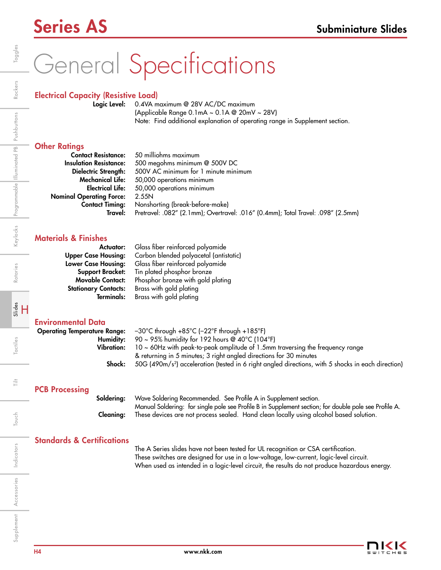### Series AS Subminiature Slides

# General Specifications

#### Electrical Capacity (Resistive Load)

Logic Level: 0.4VA maximum @ 28V AC/DC maximum (Applicable Range 0.1mA ~ 0.1A @ 20mV ~ 28V) Note: Find additional explanation of operating range in Supplement section.

#### **Other Ratings**

|                                 | <b>Contact Resistance:</b> 50 milliohms maximum                                  |  |
|---------------------------------|----------------------------------------------------------------------------------|--|
| <b>Insulation Resistance:</b>   | 500 megohms minimum @ 500V DC                                                    |  |
| Dielectric Strength:            | 500V AC minimum for 1 minute minimum                                             |  |
| <b>Mechanical Life:</b>         | 50,000 operations minimum                                                        |  |
| <b>Electrical Life:</b>         | 50,000 operations minimum                                                        |  |
| <b>Nominal Operating Force:</b> | 2.55N                                                                            |  |
| <b>Contact Timing:</b>          | Nonshorting (break-before-make)                                                  |  |
| Travel:                         | Pretravel: .082" (2.1mm); Overtravel: .016" (0.4mm); Total Travel: .098" (2.5mm) |  |

#### Materials & Finishes

| Actuator:                   | Glass fiber reinforced polyamide       |
|-----------------------------|----------------------------------------|
| <b>Upper Case Housing:</b>  | Carbon blended polyacetal (antistatic) |
| <b>Lower Case Housing:</b>  | Glass fiber reinforced polyamide       |
| <b>Support Bracket:</b>     | Tin plated phosphor bronze             |
| <b>Movable Contact:</b>     | Phosphor bronze with gold plating      |
| <b>Stationary Contacts:</b> | Brass with gold plating                |
| <b>Terminals:</b>           | Brass with gold plating                |

#### Environmental Data

| <b>Operating Temperature Range:</b> |                   | $-30^{\circ}$ C through +85 $^{\circ}$ C (-22 $^{\circ}$ F through +185 $^{\circ}$ F)                          |
|-------------------------------------|-------------------|----------------------------------------------------------------------------------------------------------------|
|                                     | Humidity:         | 90 ~ 95% humidity for 192 hours @ 40°C (104°F)                                                                 |
|                                     | <b>Vibration:</b> | 10 ~ 60Hz with peak-to-peak amplitude of 1.5mm traversing the frequency range                                  |
|                                     |                   | & returning in 5 minutes; 3 right angled directions for 30 minutes                                             |
|                                     | Shock:            | 50G (490m/s <sup>2</sup> ) acceleration (tested in 6 right angled directions, with 5 shocks in each direction) |
| <b>PCB Processing</b>               | Soldering:        | Wave Soldering Recommended. See Profile A in Supplement section.                                               |
|                                     |                   |                                                                                                                |

Manual Soldering: for single pole see Profile B in Supplement section; for double pole see Profile A. Cleaning: These devices are not process sealed. Hand clean locally using alcohol based solution.

#### Standards & Certifications

 The A Series slides have not been tested for UL recognition or CSA certification. These switches are designed for use in a low-voltage, low-current, logic-level circuit. When used as intended in a logic-level circuit, the results do not produce hazardous energy.

Toggles

ŧ

Touch

Indicators

Accessories

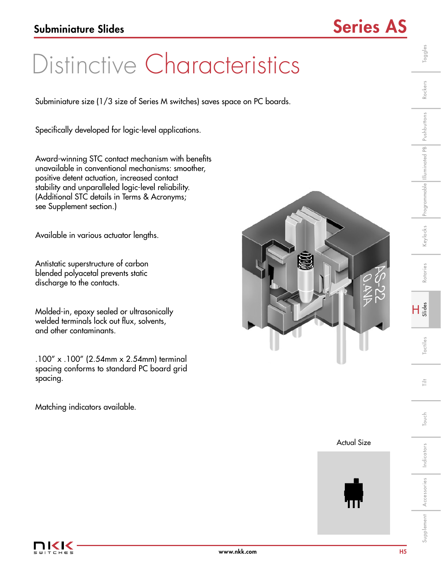## Distinctive Characteristics

Subminiature size (1/3 size of Series M switches) saves space on PC boards.

Specifically developed for logic-level applications.

Award-winning STC contact mechanism with benefits unavailable in conventional mechanisms: smoother, positive detent actuation, increased contact stability and unparalleled logic-level reliability. (Additional STC details in Terms & Acronyms; see Supplement section.)

Available in various actuator lengths.

Antistatic superstructure of carbon blended polyacetal prevents static discharge to the contacts.

Molded-in, epoxy sealed or ultrasonically welded terminals lock out flux, solvents, and other contaminants.

.100" x .100" (2.54mm x 2.54mm) terminal spacing conforms to standard PC board grid spacing.

Matching indicators available.







Toggles

**actiles** 

 $\frac{1}{11}$ 

Rotaries

Indicators

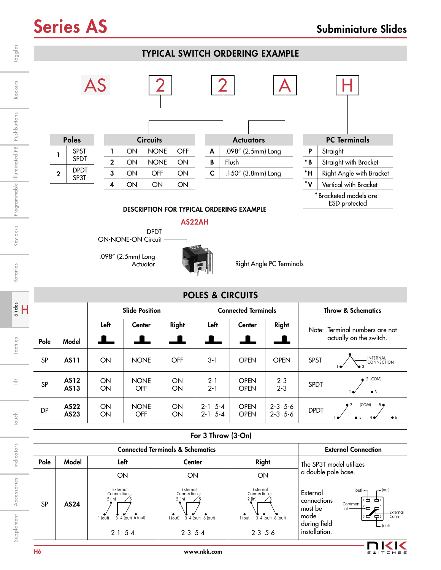### Series AS Subminiature Slides





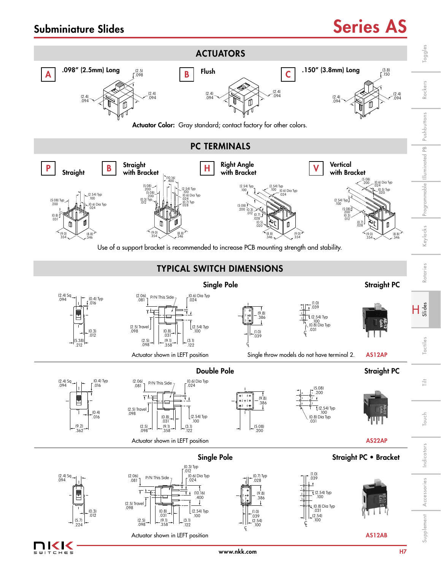### Subminiature Slides Subminiature Slides